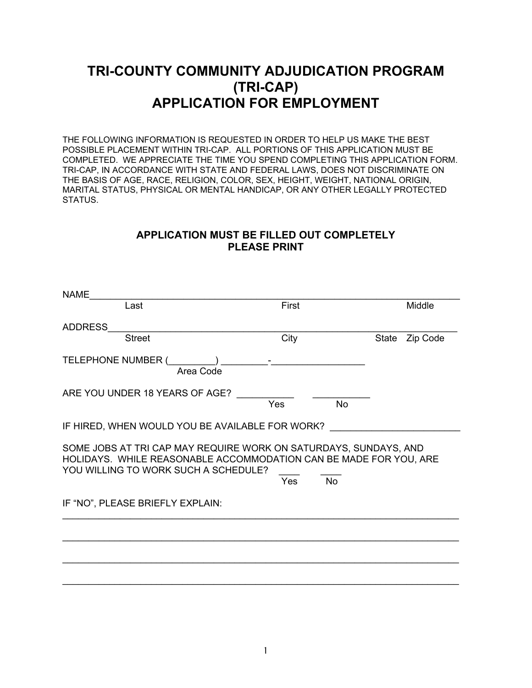# **TRI-COUNTY COMMUNITY ADJUDICATION PROGRAM (TRI-CAP) APPLICATION FOR EMPLOYMENT**

THE FOLLOWING INFORMATION IS REQUESTED IN ORDER TO HELP US MAKE THE BEST POSSIBLE PLACEMENT WITHIN TRI-CAP. ALL PORTIONS OF THIS APPLICATION MUST BE COMPLETED. WE APPRECIATE THE TIME YOU SPEND COMPLETING THIS APPLICATION FORM. TRI-CAP, IN ACCORDANCE WITH STATE AND FEDERAL LAWS, DOES NOT DISCRIMINATE ON THE BASIS OF AGE, RACE, RELIGION, COLOR, SEX, HEIGHT, WEIGHT, NATIONAL ORIGIN, MARITAL STATUS, PHYSICAL OR MENTAL HANDICAP, OR ANY OTHER LEGALLY PROTECTED STATUS.

### **APPLICATION MUST BE FILLED OUT COMPLETELY PLEASE PRINT**

| <b>NAME</b><br>Last                                                                                                                                                           | First                   |                   |
|-------------------------------------------------------------------------------------------------------------------------------------------------------------------------------|-------------------------|-------------------|
|                                                                                                                                                                               |                         | Middle            |
| <b>ADDRESS</b>                                                                                                                                                                |                         |                   |
| <b>Street</b>                                                                                                                                                                 | City                    | State<br>Zip Code |
| TELEPHONE NUMBER (<br>$\overline{\phantom{a}}$<br>Area Code                                                                                                                   |                         |                   |
| ARE YOU UNDER 18 YEARS OF AGE?                                                                                                                                                | Yes<br><b>No</b>        |                   |
| IF HIRED, WHEN WOULD YOU BE AVAILABLE FOR WORK?                                                                                                                               |                         |                   |
| SOME JOBS AT TRI CAP MAY REQUIRE WORK ON SATURDAYS, SUNDAYS, AND<br>HOLIDAYS. WHILE REASONABLE ACCOMMODATION CAN BE MADE FOR YOU, ARE<br>YOU WILLING TO WORK SUCH A SCHEDULE? | <b>No</b><br><b>Yes</b> |                   |
| IF "NO", PLEASE BRIEFLY EXPLAIN:                                                                                                                                              |                         |                   |
|                                                                                                                                                                               |                         |                   |
|                                                                                                                                                                               |                         |                   |
|                                                                                                                                                                               |                         |                   |
|                                                                                                                                                                               |                         |                   |

\_\_\_\_\_\_\_\_\_\_\_\_\_\_\_\_\_\_\_\_\_\_\_\_\_\_\_\_\_\_\_\_\_\_\_\_\_\_\_\_\_\_\_\_\_\_\_\_\_\_\_\_\_\_\_\_\_\_\_\_\_\_\_\_\_\_\_\_\_\_\_\_\_\_\_\_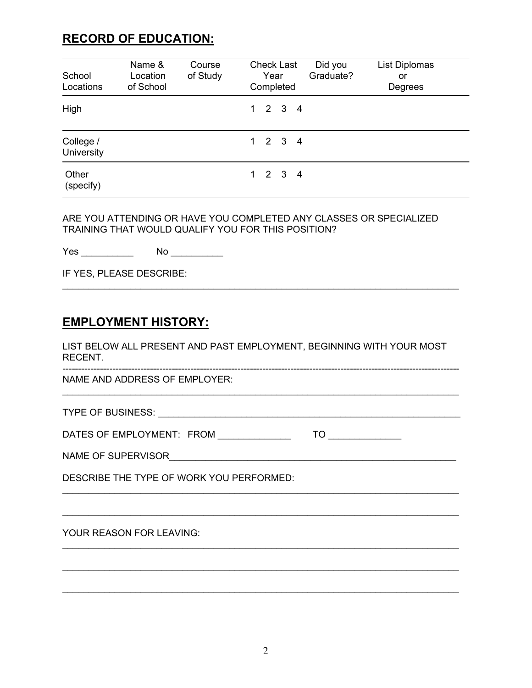# **RECORD OF EDUCATION:**

| School<br>Locations     | Name &<br>Location<br>of School | Course<br>of Study | <b>Check Last</b><br>Year<br>Completed | List Diplomas<br>Did you<br>Graduate?<br>or<br>Degrees |
|-------------------------|---------------------------------|--------------------|----------------------------------------|--------------------------------------------------------|
| High                    |                                 |                    | $1 \quad 2 \quad 3 \quad 4$            |                                                        |
| College /<br>University |                                 |                    | $1 \quad 2 \quad 3 \quad 4$            |                                                        |
| Other<br>(specify)      |                                 |                    | $1 \quad 2 \quad 3 \quad 4$            |                                                        |

ARE YOU ATTENDING OR HAVE YOU COMPLETED ANY CLASSES OR SPECIALIZED TRAINING THAT WOULD QUALIFY YOU FOR THIS POSITION?

Yes \_\_\_\_\_\_\_\_\_\_\_\_\_ No \_\_\_\_\_\_\_\_\_\_\_\_

IF YES, PLEASE DESCRIBE:

## **EMPLOYMENT HISTORY:**

LIST BELOW ALL PRESENT AND PAST EMPLOYMENT, BEGINNING WITH YOUR MOST RECENT.

\_\_\_\_\_\_\_\_\_\_\_\_\_\_\_\_\_\_\_\_\_\_\_\_\_\_\_\_\_\_\_\_\_\_\_\_\_\_\_\_\_\_\_\_\_\_\_\_\_\_\_\_\_\_\_\_\_\_\_\_\_\_\_\_\_\_\_\_\_\_\_\_\_\_\_\_

\_\_\_\_\_\_\_\_\_\_\_\_\_\_\_\_\_\_\_\_\_\_\_\_\_\_\_\_\_\_\_\_\_\_\_\_\_\_\_\_\_\_\_\_\_\_\_\_\_\_\_\_\_\_\_\_\_\_\_\_\_\_\_\_\_\_\_\_\_\_\_\_\_\_\_\_

 $\mathcal{L}_\text{max}$  , and the contribution of the contribution of the contribution of the contribution of the contribution of the contribution of the contribution of the contribution of the contribution of the contribution of t

\_\_\_\_\_\_\_\_\_\_\_\_\_\_\_\_\_\_\_\_\_\_\_\_\_\_\_\_\_\_\_\_\_\_\_\_\_\_\_\_\_\_\_\_\_\_\_\_\_\_\_\_\_\_\_\_\_\_\_\_\_\_\_\_\_\_\_\_\_\_\_\_\_\_\_\_

\_\_\_\_\_\_\_\_\_\_\_\_\_\_\_\_\_\_\_\_\_\_\_\_\_\_\_\_\_\_\_\_\_\_\_\_\_\_\_\_\_\_\_\_\_\_\_\_\_\_\_\_\_\_\_\_\_\_\_\_\_\_\_\_\_\_\_\_\_\_\_\_\_\_\_\_

\_\_\_\_\_\_\_\_\_\_\_\_\_\_\_\_\_\_\_\_\_\_\_\_\_\_\_\_\_\_\_\_\_\_\_\_\_\_\_\_\_\_\_\_\_\_\_\_\_\_\_\_\_\_\_\_\_\_\_\_\_\_\_\_\_\_\_\_\_\_\_\_\_\_\_\_

-------------------------------------------------------------------------------------------------------------------------------

\_\_\_\_\_\_\_\_\_\_\_\_\_\_\_\_\_\_\_\_\_\_\_\_\_\_\_\_\_\_\_\_\_\_\_\_\_\_\_\_\_\_\_\_\_\_\_\_\_\_\_\_\_\_\_\_\_\_\_\_\_\_\_\_\_\_\_\_\_\_\_\_\_\_\_\_

NAME AND ADDRESS OF EMPLOYER:

TYPE OF BUSINESS: \_\_\_\_\_\_\_\_\_\_\_\_\_\_\_\_\_\_\_\_\_\_\_\_\_\_\_\_\_\_\_\_\_\_\_\_\_\_\_\_\_\_\_\_\_\_\_\_\_\_\_\_\_\_\_\_\_\_

DATES OF EMPLOYMENT: FROM \_\_\_\_\_\_\_\_\_\_\_\_\_\_ TO \_\_\_\_\_\_\_\_\_\_\_\_\_\_

NAME OF SUPERVISOR\_\_\_\_\_\_\_\_\_\_\_\_\_\_\_\_\_\_\_\_\_\_\_\_\_\_\_\_\_\_\_\_\_\_\_\_\_\_\_\_\_\_\_\_\_\_\_\_\_\_\_\_\_\_\_

DESCRIBE THE TYPE OF WORK YOU PERFORMED:

#### YOUR REASON FOR LEAVING: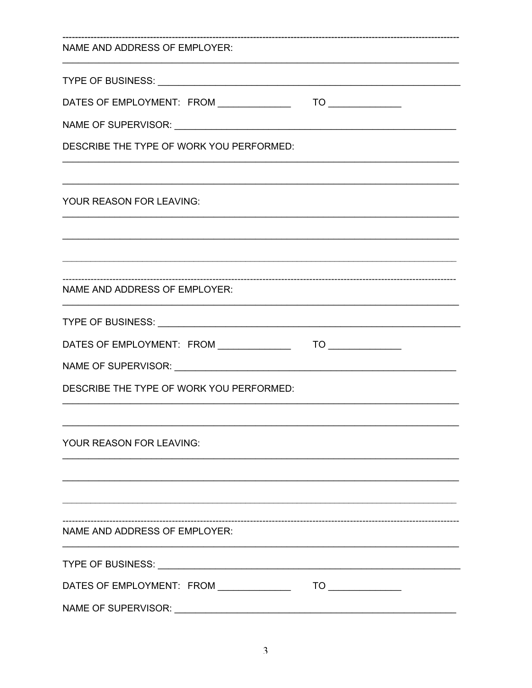| NAME AND ADDRESS OF EMPLOYER:            |  |  |  |  |  |
|------------------------------------------|--|--|--|--|--|
|                                          |  |  |  |  |  |
|                                          |  |  |  |  |  |
|                                          |  |  |  |  |  |
| DESCRIBE THE TYPE OF WORK YOU PERFORMED: |  |  |  |  |  |
| YOUR REASON FOR LEAVING:                 |  |  |  |  |  |
|                                          |  |  |  |  |  |
|                                          |  |  |  |  |  |
| NAME AND ADDRESS OF EMPLOYER:            |  |  |  |  |  |
|                                          |  |  |  |  |  |
|                                          |  |  |  |  |  |
|                                          |  |  |  |  |  |
| DESCRIBE THE TYPE OF WORK YOU PERFORMED: |  |  |  |  |  |
| YOUR REASON FOR LEAVING:                 |  |  |  |  |  |
|                                          |  |  |  |  |  |
| NAME AND ADDRESS OF EMPLOYER:            |  |  |  |  |  |
|                                          |  |  |  |  |  |
|                                          |  |  |  |  |  |
|                                          |  |  |  |  |  |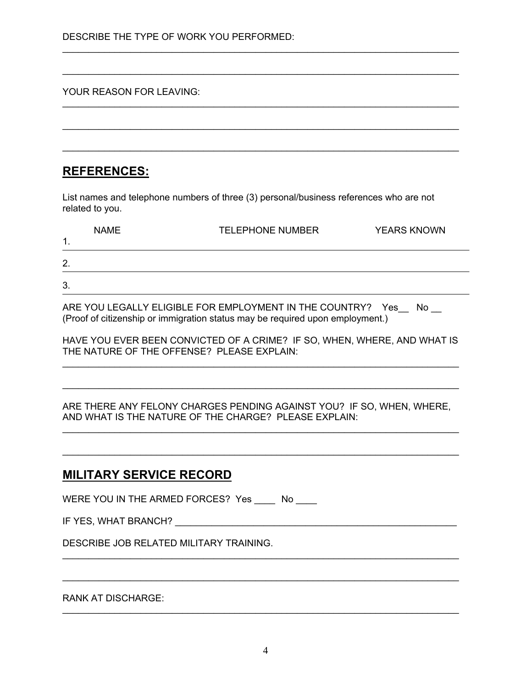#### YOUR REASON FOR LEAVING:

## **REFERENCES:**

List names and telephone numbers of three (3) personal/business references who are not related to you.

\_\_\_\_\_\_\_\_\_\_\_\_\_\_\_\_\_\_\_\_\_\_\_\_\_\_\_\_\_\_\_\_\_\_\_\_\_\_\_\_\_\_\_\_\_\_\_\_\_\_\_\_\_\_\_\_\_\_\_\_\_\_\_\_\_\_\_\_\_\_\_\_\_\_\_\_

\_\_\_\_\_\_\_\_\_\_\_\_\_\_\_\_\_\_\_\_\_\_\_\_\_\_\_\_\_\_\_\_\_\_\_\_\_\_\_\_\_\_\_\_\_\_\_\_\_\_\_\_\_\_\_\_\_\_\_\_\_\_\_\_\_\_\_\_\_\_\_\_\_\_\_\_

\_\_\_\_\_\_\_\_\_\_\_\_\_\_\_\_\_\_\_\_\_\_\_\_\_\_\_\_\_\_\_\_\_\_\_\_\_\_\_\_\_\_\_\_\_\_\_\_\_\_\_\_\_\_\_\_\_\_\_\_\_\_\_\_\_\_\_\_\_\_\_\_\_\_\_\_

\_\_\_\_\_\_\_\_\_\_\_\_\_\_\_\_\_\_\_\_\_\_\_\_\_\_\_\_\_\_\_\_\_\_\_\_\_\_\_\_\_\_\_\_\_\_\_\_\_\_\_\_\_\_\_\_\_\_\_\_\_\_\_\_\_\_\_\_\_\_\_\_\_\_\_\_

\_\_\_\_\_\_\_\_\_\_\_\_\_\_\_\_\_\_\_\_\_\_\_\_\_\_\_\_\_\_\_\_\_\_\_\_\_\_\_\_\_\_\_\_\_\_\_\_\_\_\_\_\_\_\_\_\_\_\_\_\_\_\_\_\_\_\_\_\_\_\_\_\_\_\_\_

| <b>NAME</b><br>$\blacktriangleleft$<br>. . | <b>TELEPHONE NUMBER</b> | <b>YEARS KNOWN</b> |
|--------------------------------------------|-------------------------|--------------------|
| 2.                                         |                         |                    |
| 3.                                         |                         |                    |

ARE YOU LEGALLY ELIGIBLE FOR EMPLOYMENT IN THE COUNTRY? Yes\_ No \_\_ (Proof of citizenship or immigration status may be required upon employment.)

HAVE YOU EVER BEEN CONVICTED OF A CRIME? IF SO, WHEN, WHERE, AND WHAT IS THE NATURE OF THE OFFENSE? PLEASE EXPLAIN: \_\_\_\_\_\_\_\_\_\_\_\_\_\_\_\_\_\_\_\_\_\_\_\_\_\_\_\_\_\_\_\_\_\_\_\_\_\_\_\_\_\_\_\_\_\_\_\_\_\_\_\_\_\_\_\_\_\_\_\_\_\_\_\_\_\_\_\_\_\_\_\_\_\_\_\_

\_\_\_\_\_\_\_\_\_\_\_\_\_\_\_\_\_\_\_\_\_\_\_\_\_\_\_\_\_\_\_\_\_\_\_\_\_\_\_\_\_\_\_\_\_\_\_\_\_\_\_\_\_\_\_\_\_\_\_\_\_\_\_\_\_\_\_\_\_\_\_\_\_\_\_\_

ARE THERE ANY FELONY CHARGES PENDING AGAINST YOU? IF SO, WHEN, WHERE, AND WHAT IS THE NATURE OF THE CHARGE? PLEASE EXPLAIN:

\_\_\_\_\_\_\_\_\_\_\_\_\_\_\_\_\_\_\_\_\_\_\_\_\_\_\_\_\_\_\_\_\_\_\_\_\_\_\_\_\_\_\_\_\_\_\_\_\_\_\_\_\_\_\_\_\_\_\_\_\_\_\_\_\_\_\_\_\_\_\_\_\_\_\_\_

\_\_\_\_\_\_\_\_\_\_\_\_\_\_\_\_\_\_\_\_\_\_\_\_\_\_\_\_\_\_\_\_\_\_\_\_\_\_\_\_\_\_\_\_\_\_\_\_\_\_\_\_\_\_\_\_\_\_\_\_\_\_\_\_\_\_\_\_\_\_\_\_\_\_\_\_

\_\_\_\_\_\_\_\_\_\_\_\_\_\_\_\_\_\_\_\_\_\_\_\_\_\_\_\_\_\_\_\_\_\_\_\_\_\_\_\_\_\_\_\_\_\_\_\_\_\_\_\_\_\_\_\_\_\_\_\_\_\_\_\_\_\_\_\_\_\_\_\_\_\_\_\_

\_\_\_\_\_\_\_\_\_\_\_\_\_\_\_\_\_\_\_\_\_\_\_\_\_\_\_\_\_\_\_\_\_\_\_\_\_\_\_\_\_\_\_\_\_\_\_\_\_\_\_\_\_\_\_\_\_\_\_\_\_\_\_\_\_\_\_\_\_\_\_\_\_\_\_\_

\_\_\_\_\_\_\_\_\_\_\_\_\_\_\_\_\_\_\_\_\_\_\_\_\_\_\_\_\_\_\_\_\_\_\_\_\_\_\_\_\_\_\_\_\_\_\_\_\_\_\_\_\_\_\_\_\_\_\_\_\_\_\_\_\_\_\_\_\_\_\_\_\_\_\_\_

## **MILITARY SERVICE RECORD**

WERE YOU IN THE ARMED FORCES? Yes \_\_\_\_ No \_\_\_\_

DESCRIBE JOB RELATED MILITARY TRAINING.

### RANK AT DISCHARGE: